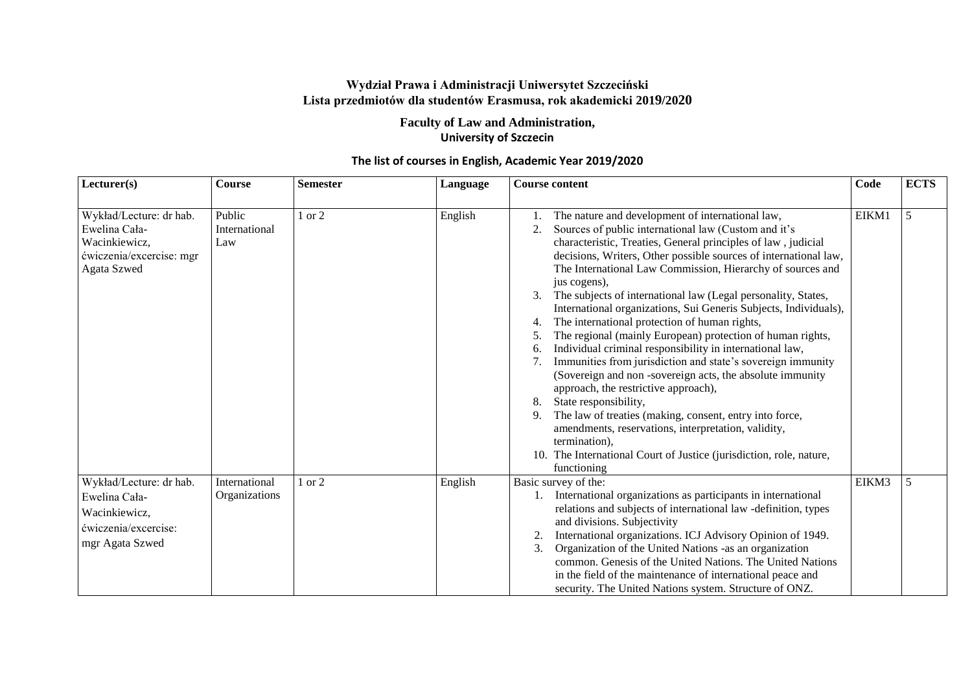## **Wydział Prawa i Administracji Uniwersytet Szczeciński Lista przedmiotów dla studentów Erasmusa, rok akademicki 2019/2020**

**Faculty of Law and Administration, University of Szczecin** 

| Lecturer(s)                                                                                          | <b>Course</b>                  | <b>Semester</b> | Language | <b>Course content</b>                                                                                                                                                                                                                                                                                                                                                                                                                                                                                                                                                                                                                                                                                                                                                                                                                                                                                                                                                                                                                                                                                      | Code  | <b>ECTS</b> |
|------------------------------------------------------------------------------------------------------|--------------------------------|-----------------|----------|------------------------------------------------------------------------------------------------------------------------------------------------------------------------------------------------------------------------------------------------------------------------------------------------------------------------------------------------------------------------------------------------------------------------------------------------------------------------------------------------------------------------------------------------------------------------------------------------------------------------------------------------------------------------------------------------------------------------------------------------------------------------------------------------------------------------------------------------------------------------------------------------------------------------------------------------------------------------------------------------------------------------------------------------------------------------------------------------------------|-------|-------------|
| Wykład/Lecture: dr hab.<br>Ewelina Cała-<br>Wacinkiewicz,<br>ćwiczenia/excercise: mgr<br>Agata Szwed | Public<br>International<br>Law | $1$ or $2$      | English  | The nature and development of international law,<br>Sources of public international law (Custom and it's<br>2.<br>characteristic, Treaties, General principles of law, judicial<br>decisions, Writers, Other possible sources of international law,<br>The International Law Commission, Hierarchy of sources and<br>jus cogens),<br>The subjects of international law (Legal personality, States,<br>International organizations, Sui Generis Subjects, Individuals),<br>The international protection of human rights,<br>4.<br>The regional (mainly European) protection of human rights,<br>5.<br>Individual criminal responsibility in international law,<br>6.<br>Immunities from jurisdiction and state's sovereign immunity<br>7.<br>(Sovereign and non-sovereign acts, the absolute immunity<br>approach, the restrictive approach),<br>8.<br>State responsibility,<br>9.<br>The law of treaties (making, consent, entry into force,<br>amendments, reservations, interpretation, validity,<br>termination),<br>10. The International Court of Justice (jurisdiction, role, nature,<br>functioning | EIKM1 | 5           |
| Wykład/Lecture: dr hab.<br>Ewelina Cała-<br>Wacinkiewicz,<br>ćwiczenia/excercise:<br>mgr Agata Szwed | International<br>Organizations | $1$ or $2$      | English  | Basic survey of the:<br>1. International organizations as participants in international<br>relations and subjects of international law -definition, types<br>and divisions. Subjectivity<br>International organizations. ICJ Advisory Opinion of 1949.<br>3.<br>Organization of the United Nations -as an organization<br>common. Genesis of the United Nations. The United Nations<br>in the field of the maintenance of international peace and<br>security. The United Nations system. Structure of ONZ.                                                                                                                                                                                                                                                                                                                                                                                                                                                                                                                                                                                                | EIKM3 | 5           |

## **The list of courses in English, Academic Year 2019/2020**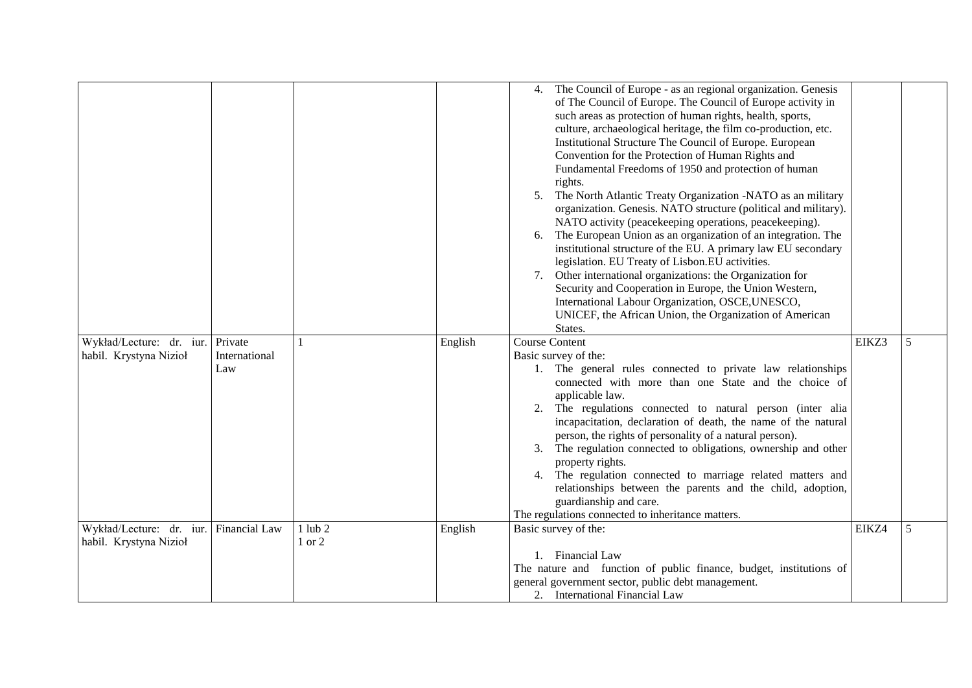|                                                                  |                      |                       |         | 4. The Council of Europe - as an regional organization. Genesis<br>of The Council of Europe. The Council of Europe activity in<br>such areas as protection of human rights, health, sports,<br>culture, archaeological heritage, the film co-production, etc.<br>Institutional Structure The Council of Europe. European<br>Convention for the Protection of Human Rights and<br>Fundamental Freedoms of 1950 and protection of human<br>rights.<br>5. The North Atlantic Treaty Organization -NATO as an military<br>organization. Genesis. NATO structure (political and military).<br>NATO activity (peacekeeping operations, peacekeeping).<br>The European Union as an organization of an integration. The<br>6.<br>institutional structure of the EU. A primary law EU secondary<br>legislation. EU Treaty of Lisbon.EU activities.<br>7. Other international organizations: the Organization for<br>Security and Cooperation in Europe, the Union Western,<br>International Labour Organization, OSCE, UNESCO,<br>UNICEF, the African Union, the Organization of American<br>States. |       |   |
|------------------------------------------------------------------|----------------------|-----------------------|---------|---------------------------------------------------------------------------------------------------------------------------------------------------------------------------------------------------------------------------------------------------------------------------------------------------------------------------------------------------------------------------------------------------------------------------------------------------------------------------------------------------------------------------------------------------------------------------------------------------------------------------------------------------------------------------------------------------------------------------------------------------------------------------------------------------------------------------------------------------------------------------------------------------------------------------------------------------------------------------------------------------------------------------------------------------------------------------------------------|-------|---|
| Wykład/Lecture: dr. iur. Private<br>habil. Krystyna Nizioł       | International<br>Law |                       | English | <b>Course Content</b><br>Basic survey of the:<br>1. The general rules connected to private law relationships<br>connected with more than one State and the choice of<br>applicable law.<br>2. The regulations connected to natural person (inter alia<br>incapacitation, declaration of death, the name of the natural<br>person, the rights of personality of a natural person).<br>3. The regulation connected to obligations, ownership and other<br>property rights.<br>4. The regulation connected to marriage related matters and<br>relationships between the parents and the child, adoption,<br>guardianship and care.<br>The regulations connected to inheritance matters.                                                                                                                                                                                                                                                                                                                                                                                                        | EIKZ3 | 5 |
| Wykład/Lecture: dr. iur. Financial Law<br>habil. Krystyna Nizioł |                      | $1$ lub $2$<br>1 or 2 | English | Basic survey of the:<br>1. Financial Law<br>The nature and function of public finance, budget, institutions of<br>general government sector, public debt management.<br>2. International Financial Law                                                                                                                                                                                                                                                                                                                                                                                                                                                                                                                                                                                                                                                                                                                                                                                                                                                                                      | EIKZ4 | 5 |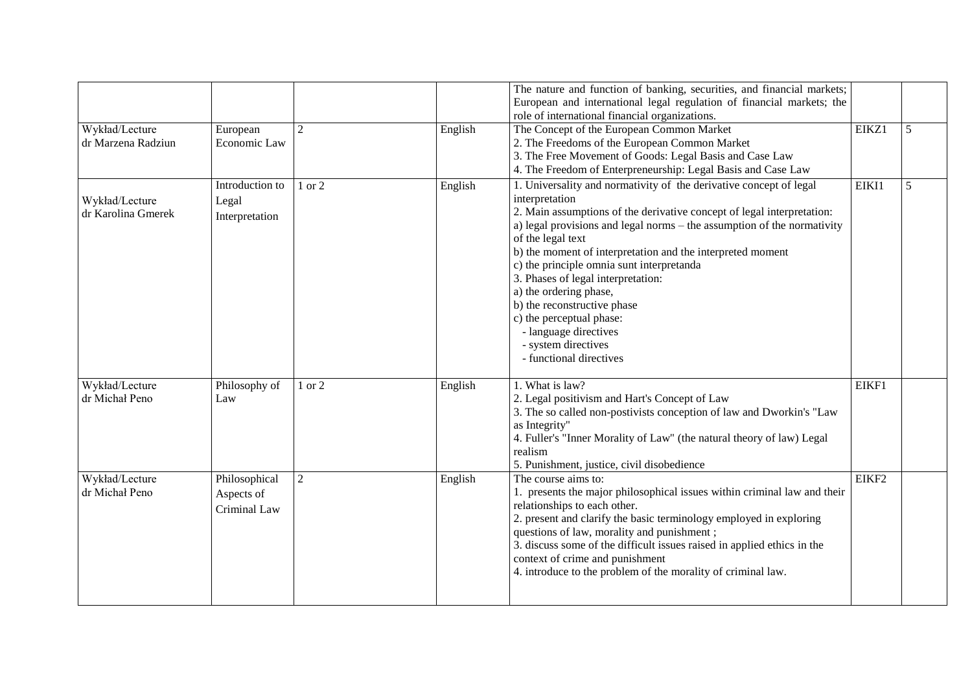|                                      |                                             |                |         | The nature and function of banking, securities, and financial markets;<br>European and international legal regulation of financial markets; the<br>role of international financial organizations.                                                                                                                                                                                                                                                                                                                                                                                 |       |   |
|--------------------------------------|---------------------------------------------|----------------|---------|-----------------------------------------------------------------------------------------------------------------------------------------------------------------------------------------------------------------------------------------------------------------------------------------------------------------------------------------------------------------------------------------------------------------------------------------------------------------------------------------------------------------------------------------------------------------------------------|-------|---|
| Wykład/Lecture<br>dr Marzena Radziun | European<br>Economic Law                    | $\overline{2}$ | English | The Concept of the European Common Market<br>2. The Freedoms of the European Common Market<br>3. The Free Movement of Goods: Legal Basis and Case Law<br>4. The Freedom of Enterpreneurship: Legal Basis and Case Law                                                                                                                                                                                                                                                                                                                                                             | EIKZ1 | 5 |
| Wykład/Lecture<br>dr Karolina Gmerek | Introduction to<br>Legal<br>Interpretation  | 1 or 2         | English | 1. Universality and normativity of the derivative concept of legal<br>interpretation<br>2. Main assumptions of the derivative concept of legal interpretation:<br>a) legal provisions and legal norms $-$ the assumption of the normativity<br>of the legal text<br>b) the moment of interpretation and the interpreted moment<br>c) the principle omnia sunt interpretanda<br>3. Phases of legal interpretation:<br>a) the ordering phase,<br>b) the reconstructive phase<br>c) the perceptual phase:<br>- language directives<br>- system directives<br>- functional directives | EIKI1 | 5 |
| Wykład/Lecture<br>dr Michał Peno     | Philosophy of<br>Law                        | 1 or 2         | English | 1. What is law?<br>2. Legal positivism and Hart's Concept of Law<br>3. The so called non-postivists conception of law and Dworkin's "Law<br>as Integrity"<br>4. Fuller's "Inner Morality of Law" (the natural theory of law) Legal<br>realism<br>5. Punishment, justice, civil disobedience                                                                                                                                                                                                                                                                                       | EIKF1 |   |
| Wykład/Lecture<br>dr Michał Peno     | Philosophical<br>Aspects of<br>Criminal Law | $\overline{2}$ | English | The course aims to:<br>1. presents the major philosophical issues within criminal law and their<br>relationships to each other.<br>2. present and clarify the basic terminology employed in exploring<br>questions of law, morality and punishment;<br>3. discuss some of the difficult issues raised in applied ethics in the<br>context of crime and punishment<br>4. introduce to the problem of the morality of criminal law.                                                                                                                                                 | EIKF2 |   |